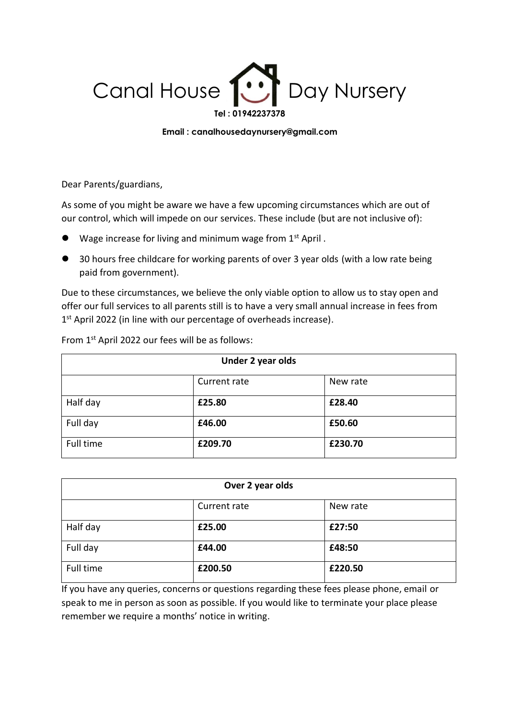

## **Email : canalhousedaynursery@gmail.com**

Dear Parents/guardians,

As some of you might be aware we have a few upcoming circumstances which are out of our control, which will impede on our services. These include (but are not inclusive of):

- Wage increase for living and minimum wage from 1<sup>st</sup> April.
- 30 hours free childcare for working parents of over 3 year olds (with a low rate being paid from government).

Due to these circumstances, we believe the only viable option to allow us to stay open and offer our full services to all parents still is to have a very small annual increase in fees from 1<sup>st</sup> April 2022 (in line with our percentage of overheads increase).

| Under 2 year olds |              |          |  |  |
|-------------------|--------------|----------|--|--|
|                   | Current rate | New rate |  |  |
| Half day          | £25.80       | £28.40   |  |  |
| Full day          | £46.00       | £50.60   |  |  |
| Full time         | £209.70      | £230.70  |  |  |

From 1st April 2022 our fees will be as follows:

| Over 2 year olds |              |          |  |  |
|------------------|--------------|----------|--|--|
|                  | Current rate | New rate |  |  |
| Half day         | £25.00       | £27:50   |  |  |
| Full day         | £44.00       | £48:50   |  |  |
| Full time        | £200.50      | £220.50  |  |  |

If you have any queries, concerns or questions regarding these fees please phone, email or speak to me in person as soon as possible. If you would like to terminate your place please remember we require a months' notice in writing.